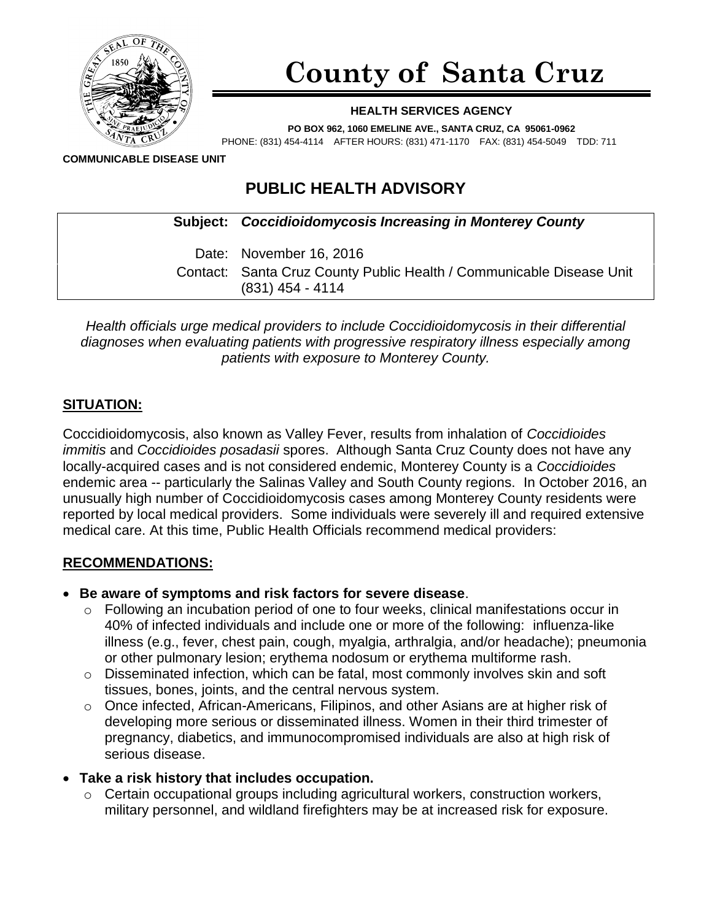

# **County of Santa Cruz**

#### **HEALTH SERVICES AGENCY**

**PO BOX 962, 1060 EMELINE AVE., SANTA CRUZ, CA 95061-0962** PHONE: (831) 454-4114 AFTER HOURS: (831) 471-1170 FAX: (831) 454-5049 TDD: 711

**COMMUNICABLE DISEASE UNIT**

## **PUBLIC HEALTH ADVISORY**

| <b>Subject: Coccidioidomycosis Increasing in Monterey County</b>                                                      |
|-----------------------------------------------------------------------------------------------------------------------|
| Date: November 16, 2016<br>Contact: Santa Cruz County Public Health / Communicable Disease Unit<br>$(831)$ 454 - 4114 |

*Health officials urge medical providers to include Coccidioidomycosis in their differential diagnoses when evaluating patients with progressive respiratory illness especially among patients with exposure to Monterey County.*

#### **SITUATION:**

Coccidioidomycosis, also known as Valley Fever, results from inhalation of *Coccidioides immitis* and *Coccidioides posadasii* spores. Although Santa Cruz County does not have any locally-acquired cases and is not considered endemic, Monterey County is a *Coccidioides* endemic area -- particularly the Salinas Valley and South County regions. In October 2016, an unusually high number of Coccidioidomycosis cases among Monterey County residents were reported by local medical providers. Some individuals were severely ill and required extensive medical care. At this time, Public Health Officials recommend medical providers:

#### **RECOMMENDATIONS:**

- **Be aware of symptoms and risk factors for severe disease**.
	- o Following an incubation period of one to four weeks, clinical manifestations occur in 40% of infected individuals and include one or more of the following: influenza-like illness (e.g., fever, chest pain, cough, myalgia, arthralgia, and/or headache); pneumonia or other pulmonary lesion; erythema nodosum or erythema multiforme rash.
	- o Disseminated infection, which can be fatal, most commonly involves skin and soft tissues, bones, joints, and the central nervous system.
	- o Once infected, African-Americans, Filipinos, and other Asians are at higher risk of developing more serious or disseminated illness. Women in their third trimester of pregnancy, diabetics, and immunocompromised individuals are also at high risk of serious disease.
- **Take a risk history that includes occupation.**
	- o Certain occupational groups including agricultural workers, construction workers, military personnel, and wildland firefighters may be at increased risk for exposure.